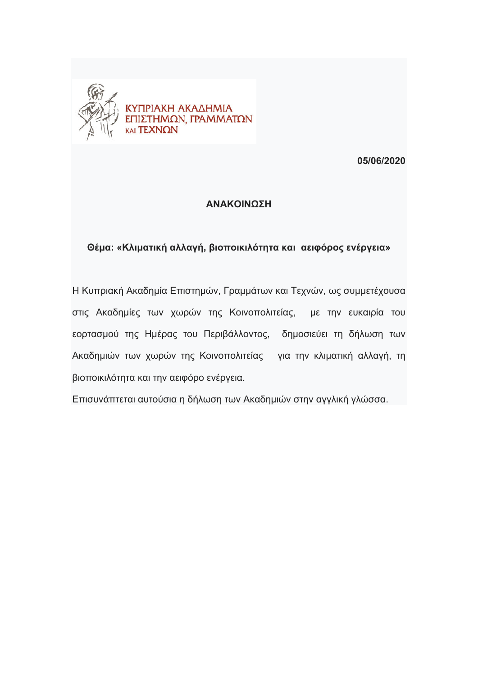

**05/06/2020** 

## **ΑΝΑΚΟΙΝΩΣΗ**

## **Θέμα: «Kλιματική αλλαγή, βιοποικιλότητα και αειφόρος ενέργεια»**

Η Κυπριακή Ακαδημία Επιστημών, Γραμμάτων και Τεχνών, ως συμμετέχουσα στις Ακαδημίες των χωρών της Κοινοπολιτείας, με την ευκαιρία του εορτασμού της Ημέρας του Περιβάλλοντος, δημοσιεύει τη δήλωση των Ακαδημιών των χωρών της Κοινοπολιτείας για την κλιματική αλλαγή, τη βιοποικιλότητα και την αειφόρο ενέργεια.

Επισυνάπτεται αυτούσια η δήλωση των Ακαδημιών στην αγγλική γλώσσα.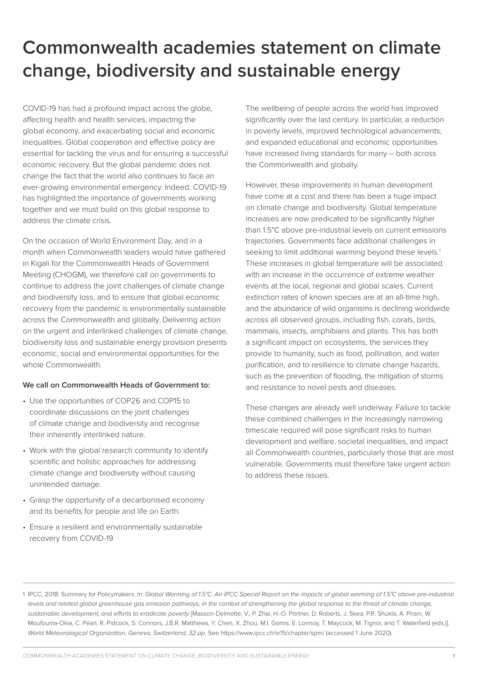## **Commonwealth academies statement on climate change, biodiversity and sustainable energy**

COVID-19 has had a profound impact across the globe, affecting health and health services, impacting the global economy, and exacerbating social and economic inequalities. Global cooperation and effective policy are essential for tackling the virus and for ensuring a successful economic recovery. But the global pandemic does not change the fact that the world also continues to face an ever-growing environmental emergency. Indeed, COVID-19 has highlighted the importance of governments working together and we must build on this global response to address the climate crisis.

On the occasion of World Environment Day, and in a month when Commonwealth leaders would have gathered in Kigali for the Commonwealth Heads of Government Meeting (CHOGM), we therefore call on governments to continue to address the joint challenges of climate change and biodiversity loss, and to ensure that global economic recovery from the pandemic is environmentally sustainable across the Commonwealth and globally. Delivering action on the urgent and interlinked challenges of climate change, biodiversity loss and sustainable energy provision presents economic, social and environmental opportunities for the whole Commonwealth.

## **We call on Commonwealth Heads of Government to:**

- Use the opportunities of COP26 and COP15 to coordinate discussions on the joint challenges of climate change and biodiversity and recognise their inherently interlinked nature.
- Work with the global research community to identify scientific and holistic approaches for addressing climate change and biodiversity without causing unintended damage.
- Grasp the opportunity of a decarbonised economy and its benefits for people and life on Earth.
- Ensure a resilient and environmentally sustainable recovery from COVID-19.

The wellbeing of people across the world has improved significantly over the last century. In particular, a reduction in poverty levels, improved technological advancements, and expanded educational and economic opportunities have increased living standards for many – both across the Commonwealth and globally.

However, these improvements in human development have come at a cost and there has been a huge impact on climate change and biodiversity. Global temperature increases are now predicated to be significantly higher than 1.5°C above pre-industrial levels on current emissions trajectories. Governments face additional challenges in seeking to limit additional warming beyond these levels.<sup>1</sup> These increases in global temperature will be associated with an increase in the occurrence of extreme weather events at the local, regional and global scales. Current extinction rates of known species are at an all-time high, and the abundance of wild organisms is declining worldwide across all observed groups, including fish, corals, birds, mammals, insects, amphibians and plants. This has both a significant impact on ecosystems, the services they provide to humanity, such as food, pollination, and water purification, and to resilience to climate change hazards, such as the prevention of flooding, the mitigation of storms and resistance to novel pests and diseases.

These changes are already well underway. Failure to tackle these combined challenges in the increasingly narrowing timescale required will pose significant risks to human development and welfare, societal inequalities, and impact all Commonwealth countries, particularly those that are most vulnerable. Governments must therefore take urgent action to address these issues.

1 IPCC, 2018: Summary for Policymakers. In: *Global Warming of 1.5°C. An IPCC Special Report on the impacts of global warming of 1.5°C above pre-industrial levels and related global greenhouse gas emission pathways, in the context of strengthening the global response to the threat of climate change, sustainable development, and efforts to eradicate poverty* [Masson-Delmotte, V., P. Zhai, H.-O. Pörtner, D. Roberts, J. Skea, P.R. Shukla, A. Pirani, W. Moufouma-Okia, C. Péan, R. Pidcock, S. Connors, J.B.R. Matthews, Y. Chen, X. Zhou, M.I. Gomis, E. Lonnoy, T. Maycock, M. Tignor, and T. Waterfield (eds.)]. *World Meteorological Organization, Geneva, Switzerland, 32 pp*. See https://www.ipcc.ch/sr15/chapter/spm/ (accessed 1 June 2020).